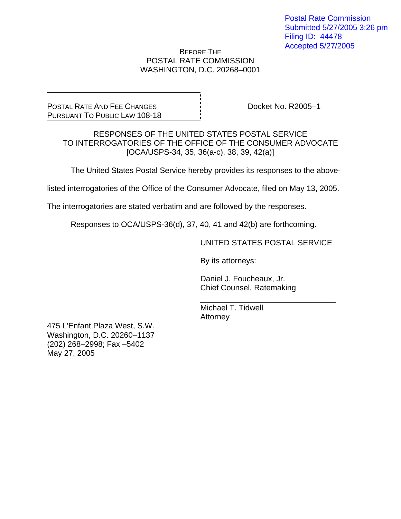#### BEFORE THE POSTAL RATE COMMISSION WASHINGTON, D.C. 20268–0001

POSTAL RATE AND FEE CHANGES PURSUANT TO PUBLIC LAW 108-18 Docket No. R2005–1

RESPONSES OF THE UNITED STATES POSTAL SERVICE TO INTERROGATORIES OF THE OFFICE OF THE CONSUMER ADVOCATE [OCA/USPS-34, 35, 36(a-c), 38, 39, 42(a)]

The United States Postal Service hereby provides its responses to the above-

listed interrogatories of the Office of the Consumer Advocate, filed on May 13, 2005.

The interrogatories are stated verbatim and are followed by the responses.

Responses to OCA/USPS-36(d), 37, 40, 41 and 42(b) are forthcoming.

 $\frac{1}{\sqrt{1-\frac{1}{2}+\frac{1}{2}+\frac{1}{2}+\frac{1}{2}+\frac{1}{2}+\frac{1}{2}+\frac{1}{2}+\frac{1}{2}+\frac{1}{2}+\frac{1}{2}+\frac{1}{2}+\frac{1}{2}+\frac{1}{2}+\frac{1}{2}+\frac{1}{2}+\frac{1}{2}+\frac{1}{2}+\frac{1}{2}+\frac{1}{2}+\frac{1}{2}+\frac{1}{2}+\frac{1}{2}+\frac{1}{2}+\frac{1}{2}+\frac{1}{2}+\frac{1}{2}+\frac{1}{2}+\frac{1}{2}+\frac{1}{2}+\frac{1}{2}+\$ 

UNITED STATES POSTAL SERVICE

By its attorneys:

 Daniel J. Foucheaux, Jr. Chief Counsel, Ratemaking

 Michael T. Tidwell **Attorney** 

475 L'Enfant Plaza West, S.W. Washington, D.C. 20260–1137 (202) 268–2998; Fax –5402 May 27, 2005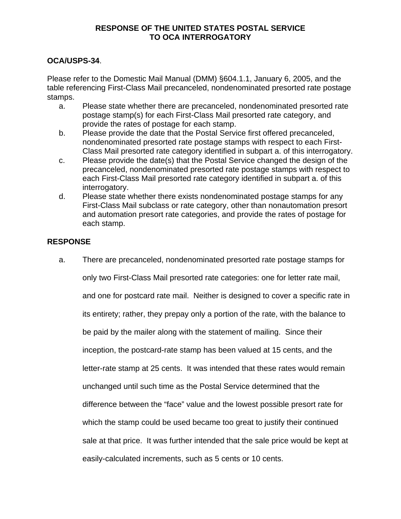# **OCA/USPS-34**.

Please refer to the Domestic Mail Manual (DMM) §604.1.1, January 6, 2005, and the table referencing First-Class Mail precanceled, nondenominated presorted rate postage stamps.

- a. Please state whether there are precanceled, nondenominated presorted rate postage stamp(s) for each First-Class Mail presorted rate category, and provide the rates of postage for each stamp.
- b. Please provide the date that the Postal Service first offered precanceled, nondenominated presorted rate postage stamps with respect to each First-Class Mail presorted rate category identified in subpart a. of this interrogatory.
- c. Please provide the date(s) that the Postal Service changed the design of the precanceled, nondenominated presorted rate postage stamps with respect to each First-Class Mail presorted rate category identified in subpart a. of this interrogatory.
- d. Please state whether there exists nondenominated postage stamps for any First-Class Mail subclass or rate category, other than nonautomation presort and automation presort rate categories, and provide the rates of postage for each stamp.

# **RESPONSE**

a. There are precanceled, nondenominated presorted rate postage stamps for only two First-Class Mail presorted rate categories: one for letter rate mail, and one for postcard rate mail. Neither is designed to cover a specific rate in its entirety; rather, they prepay only a portion of the rate, with the balance to be paid by the mailer along with the statement of mailing. Since their inception, the postcard-rate stamp has been valued at 15 cents, and the letter-rate stamp at 25 cents. It was intended that these rates would remain unchanged until such time as the Postal Service determined that the difference between the "face" value and the lowest possible presort rate for which the stamp could be used became too great to justify their continued sale at that price. It was further intended that the sale price would be kept at easily-calculated increments, such as 5 cents or 10 cents.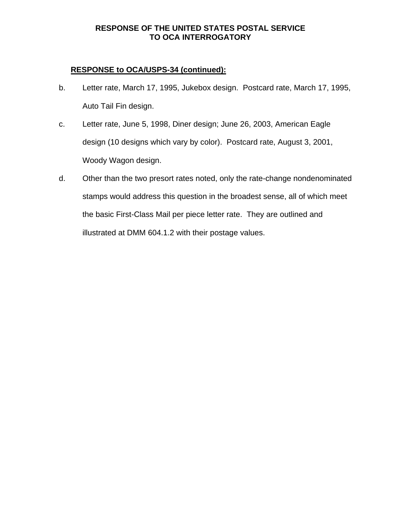# **RESPONSE to OCA/USPS-34 (continued):**

- b. Letter rate, March 17, 1995, Jukebox design. Postcard rate, March 17, 1995, Auto Tail Fin design.
- c. Letter rate, June 5, 1998, Diner design; June 26, 2003, American Eagle design (10 designs which vary by color). Postcard rate, August 3, 2001, Woody Wagon design.
- d. Other than the two presort rates noted, only the rate-change nondenominated stamps would address this question in the broadest sense, all of which meet the basic First-Class Mail per piece letter rate. They are outlined and illustrated at DMM 604.1.2 with their postage values.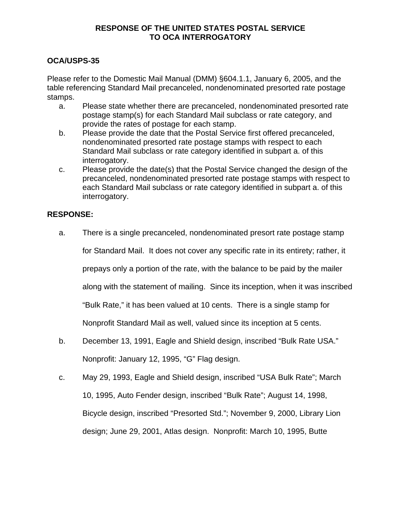# **OCA/USPS-35**

Please refer to the Domestic Mail Manual (DMM) §604.1.1, January 6, 2005, and the table referencing Standard Mail precanceled, nondenominated presorted rate postage stamps.

- a. Please state whether there are precanceled, nondenominated presorted rate postage stamp(s) for each Standard Mail subclass or rate category, and provide the rates of postage for each stamp.
- b. Please provide the date that the Postal Service first offered precanceled, nondenominated presorted rate postage stamps with respect to each Standard Mail subclass or rate category identified in subpart a. of this interrogatory.
- c. Please provide the date(s) that the Postal Service changed the design of the precanceled, nondenominated presorted rate postage stamps with respect to each Standard Mail subclass or rate category identified in subpart a. of this interrogatory.

#### **RESPONSE:**

a. There is a single precanceled, nondenominated presort rate postage stamp

for Standard Mail. It does not cover any specific rate in its entirety; rather, it

prepays only a portion of the rate, with the balance to be paid by the mailer

along with the statement of mailing. Since its inception, when it was inscribed

"Bulk Rate," it has been valued at 10 cents. There is a single stamp for

Nonprofit Standard Mail as well, valued since its inception at 5 cents.

- b. December 13, 1991, Eagle and Shield design, inscribed "Bulk Rate USA." Nonprofit: January 12, 1995, "G" Flag design.
- c. May 29, 1993, Eagle and Shield design, inscribed "USA Bulk Rate"; March 10, 1995, Auto Fender design, inscribed "Bulk Rate"; August 14, 1998, Bicycle design, inscribed "Presorted Std."; November 9, 2000, Library Lion design; June 29, 2001, Atlas design. Nonprofit: March 10, 1995, Butte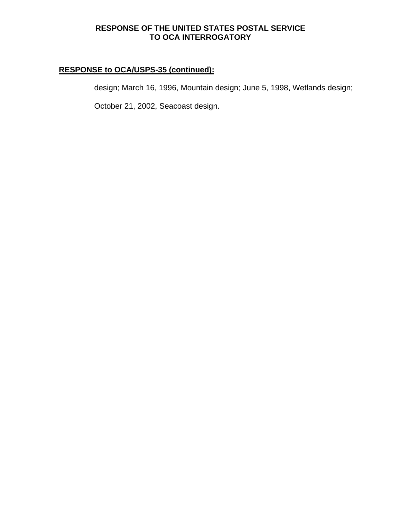# **RESPONSE to OCA/USPS-35 (continued):**

design; March 16, 1996, Mountain design; June 5, 1998, Wetlands design;

October 21, 2002, Seacoast design.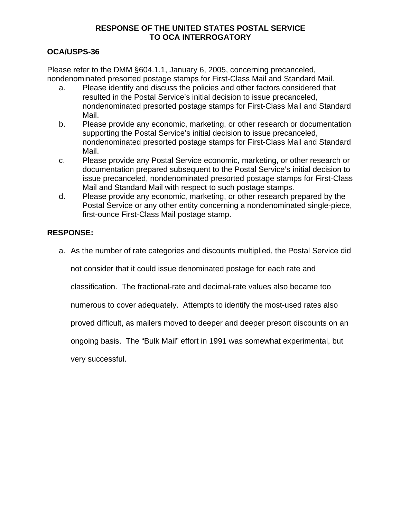# **OCA/USPS-36**

Please refer to the DMM §604.1.1, January 6, 2005, concerning precanceled, nondenominated presorted postage stamps for First-Class Mail and Standard Mail.

- a. Please identify and discuss the policies and other factors considered that resulted in the Postal Service's initial decision to issue precanceled, nondenominated presorted postage stamps for First-Class Mail and Standard Mail.
- b. Please provide any economic, marketing, or other research or documentation supporting the Postal Service's initial decision to issue precanceled, nondenominated presorted postage stamps for First-Class Mail and Standard Mail.
- c. Please provide any Postal Service economic, marketing, or other research or documentation prepared subsequent to the Postal Service's initial decision to issue precanceled, nondenominated presorted postage stamps for First-Class Mail and Standard Mail with respect to such postage stamps.
- d. Please provide any economic, marketing, or other research prepared by the Postal Service or any other entity concerning a nondenominated single-piece, first-ounce First-Class Mail postage stamp.

# **RESPONSE:**

a. As the number of rate categories and discounts multiplied, the Postal Service did

not consider that it could issue denominated postage for each rate and

classification. The fractional-rate and decimal-rate values also became too

numerous to cover adequately. Attempts to identify the most-used rates also

proved difficult, as mailers moved to deeper and deeper presort discounts on an

ongoing basis. The "Bulk Mail" effort in 1991 was somewhat experimental, but

very successful.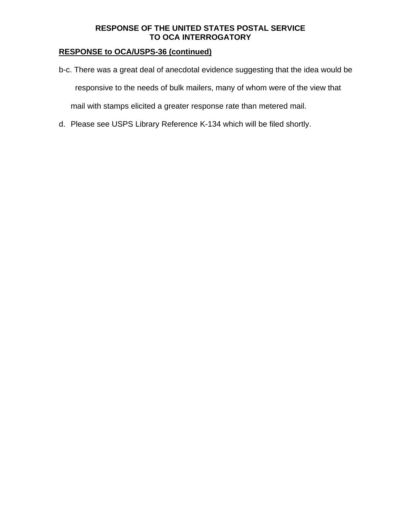# **RESPONSE to OCA/USPS-36 (continued)**

- b-c. There was a great deal of anecdotal evidence suggesting that the idea would be responsive to the needs of bulk mailers, many of whom were of the view that mail with stamps elicited a greater response rate than metered mail.
- d. Please see USPS Library Reference K-134 which will be filed shortly.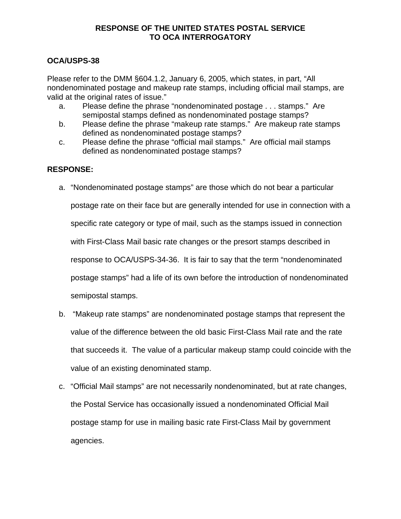# **OCA/USPS-38**

Please refer to the DMM §604.1.2, January 6, 2005, which states, in part, "All nondenominated postage and makeup rate stamps, including official mail stamps, are valid at the original rates of issue."

- a. Please define the phrase "nondenominated postage . . . stamps." Are semipostal stamps defined as nondenominated postage stamps?
- b. Please define the phrase "makeup rate stamps." Are makeup rate stamps defined as nondenominated postage stamps?
- c. Please define the phrase "official mail stamps." Are official mail stamps defined as nondenominated postage stamps?

# **RESPONSE:**

- a. "Nondenominated postage stamps" are those which do not bear a particular postage rate on their face but are generally intended for use in connection with a specific rate category or type of mail, such as the stamps issued in connection with First-Class Mail basic rate changes or the presort stamps described in response to OCA/USPS-34-36. It is fair to say that the term "nondenominated postage stamps" had a life of its own before the introduction of nondenominated semipostal stamps.
- b. "Makeup rate stamps" are nondenominated postage stamps that represent the value of the difference between the old basic First-Class Mail rate and the rate that succeeds it. The value of a particular makeup stamp could coincide with the value of an existing denominated stamp.
- c. "Official Mail stamps" are not necessarily nondenominated, but at rate changes, the Postal Service has occasionally issued a nondenominated Official Mail postage stamp for use in mailing basic rate First-Class Mail by government agencies.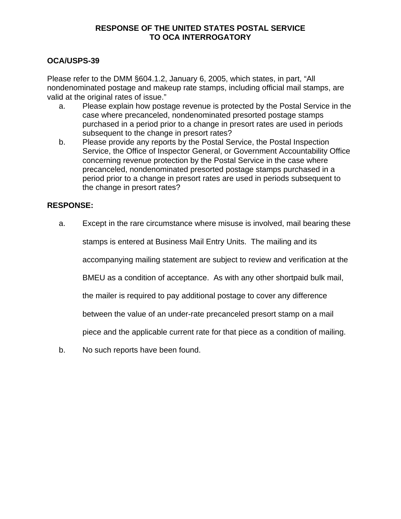# **OCA/USPS-39**

Please refer to the DMM §604.1.2, January 6, 2005, which states, in part, "All nondenominated postage and makeup rate stamps, including official mail stamps, are valid at the original rates of issue."

- a. Please explain how postage revenue is protected by the Postal Service in the case where precanceled, nondenominated presorted postage stamps purchased in a period prior to a change in presort rates are used in periods subsequent to the change in presort rates?
- b. Please provide any reports by the Postal Service, the Postal Inspection Service, the Office of Inspector General, or Government Accountability Office concerning revenue protection by the Postal Service in the case where precanceled, nondenominated presorted postage stamps purchased in a period prior to a change in presort rates are used in periods subsequent to the change in presort rates?

# **RESPONSE:**

a. Except in the rare circumstance where misuse is involved, mail bearing these

stamps is entered at Business Mail Entry Units. The mailing and its

accompanying mailing statement are subject to review and verification at the

BMEU as a condition of acceptance. As with any other shortpaid bulk mail,

the mailer is required to pay additional postage to cover any difference

between the value of an under-rate precanceled presort stamp on a mail

piece and the applicable current rate for that piece as a condition of mailing.

b. No such reports have been found.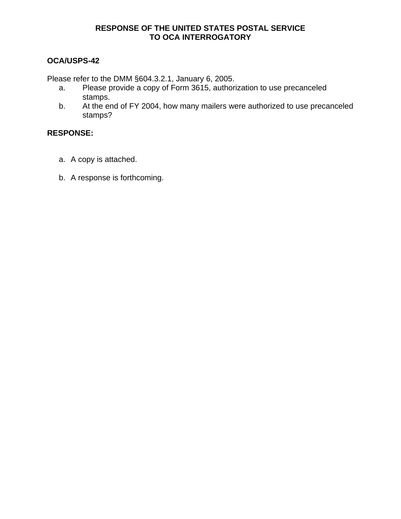# **OCA/USPS-42**

Please refer to the DMM §604.3.2.1, January 6, 2005.

- a. Please provide a copy of Form 3615, authorization to use precanceled stamps.
- b. At the end of FY 2004, how many mailers were authorized to use precanceled stamps?

#### **RESPONSE:**

- a. A copy is attached.
- b. A response is forthcoming.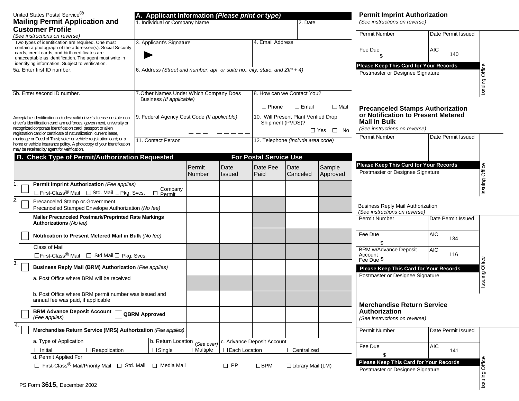| United States Postal Service <sup>®</sup>                                                                                                                                                                       | A. Applicant Information (Please print or type) |                            |                 | <b>Permit Imprint Authorization</b>                                            |                    |                                                                            |                                                                                                      |                    |                   |  |
|-----------------------------------------------------------------------------------------------------------------------------------------------------------------------------------------------------------------|-------------------------------------------------|----------------------------|-----------------|--------------------------------------------------------------------------------|--------------------|----------------------------------------------------------------------------|------------------------------------------------------------------------------------------------------|--------------------|-------------------|--|
| <b>Mailing Permit Application and</b>                                                                                                                                                                           | 1. Individual or Company Name                   |                            |                 | 2. Date                                                                        |                    |                                                                            | (See instructions on reverse)                                                                        |                    |                   |  |
| <b>Customer Profile</b>                                                                                                                                                                                         |                                                 |                            |                 |                                                                                |                    |                                                                            | <b>Permit Number</b>                                                                                 | Date Permit Issued |                   |  |
| (See instructions on reverse)<br>Two types of identification are required. One must                                                                                                                             | 3. Applicant's Signature                        |                            |                 | 4. Email Address                                                               |                    |                                                                            |                                                                                                      |                    |                   |  |
| contain a photograph of the addressee(s). Social Security<br>cards, credit cards, and birth certificates are<br>unacceptable as identification. The agent must write in                                         |                                                 |                            |                 |                                                                                |                    | Fee Due<br>\$.                                                             | <b>AIC</b><br>140                                                                                    |                    |                   |  |
| identifying information. Subject to verification.                                                                                                                                                               |                                                 |                            |                 | 6. Address (Street and number, apt. or suite no., city, state, and $ZIP + 4$ ) |                    |                                                                            | Please Keep This Card for Your Records                                                               |                    |                   |  |
| 5a. Enter first ID number.                                                                                                                                                                                      |                                                 |                            |                 |                                                                                |                    |                                                                            | Postmaster or Designee Signature                                                                     |                    | Office<br>Issuing |  |
| 5b. Enter second ID number.                                                                                                                                                                                     | 7. Other Names Under Which Company Does         | 8. How can we Contact You? |                 |                                                                                |                    |                                                                            |                                                                                                      |                    |                   |  |
| Business (If applicable)                                                                                                                                                                                        |                                                 |                            |                 | $\Box$ Phone<br>$\Box$ Email<br>$\Box$ Mail                                    |                    |                                                                            | <b>Precanceled Stamps Authorization</b><br>or Notification to Present Metered<br><b>Mail in Bulk</b> |                    |                   |  |
| 9. Federal Agency Cost Code (If applicable)<br>Acceptable identification includes: valid driver's license or state non-<br>driver's identification card; armed forces, government, university or                |                                                 |                            |                 | 10. Will Present Plant Verified Drop<br>Shipment (PVDS)?                       |                    |                                                                            |                                                                                                      |                    |                   |  |
| recognized corporate identification card; passport or alien<br>registration card or certificate of naturalization; current lease,                                                                               |                                                 |                            |                 |                                                                                |                    | $\Box$ Yes $\Box$ No                                                       | (See instructions on reverse)                                                                        |                    |                   |  |
| mortgage or Deed of Trust; voter or vehicle registration card; or a<br>11. Contact Person<br>home or vehicle insurance policy. A photocopy of your identification<br>may be retained by agent for verification. |                                                 |                            |                 | 12. Telephone (Include area code)                                              |                    |                                                                            | <b>Permit Number</b>                                                                                 | Date Permit Issued |                   |  |
| <b>Check Type of Permit/Authorization Requested</b>                                                                                                                                                             |                                                 |                            |                 | <b>For Postal Service Use</b>                                                  |                    |                                                                            |                                                                                                      |                    |                   |  |
|                                                                                                                                                                                                                 |                                                 | Permit<br>Number           | Date<br>Issued  | Date Fee<br>Paid                                                               | Date<br>Canceled   | Sample<br>Approved                                                         | Please Keep This Card for Your Records<br>Postmaster or Designee Signature                           |                    | Issuing Office    |  |
| Permit Imprint Authorization (Fee applies)<br>1.                                                                                                                                                                |                                                 |                            |                 |                                                                                |                    |                                                                            |                                                                                                      |                    |                   |  |
| □ First-Class <sup>®</sup> Mail □ Std. Mail □ Pkg. Svcs.                                                                                                                                                        | Company<br>$\Box$ Permit                        |                            |                 |                                                                                |                    |                                                                            |                                                                                                      |                    |                   |  |
| 2.<br>Precanceled Stamp or Government<br>Precanceled Stamped Envelope Authorization (No fee)                                                                                                                    |                                                 |                            |                 |                                                                                |                    |                                                                            | <b>Business Reply Mail Authorization</b>                                                             |                    |                   |  |
| Mailer Precanceled Postmark/Preprinted Rate Markings<br>Authorizations (No fee)                                                                                                                                 |                                                 |                            |                 |                                                                                |                    |                                                                            | (See instructions on reverse)<br>Permit Number                                                       | Date Permit Issued |                   |  |
| Notification to Present Metered Mail in Bulk (No fee)                                                                                                                                                           |                                                 |                            |                 |                                                                                |                    |                                                                            | Fee Due                                                                                              | AIC<br>134         |                   |  |
| <b>Class of Mail</b>                                                                                                                                                                                            |                                                 |                            |                 |                                                                                |                    |                                                                            | <b>BRM w/Advance Deposit</b>                                                                         | AIC                |                   |  |
| □ First-Class <sup>®</sup> Mail □ Std Mail □ Pkg. Svcs.<br>3.                                                                                                                                                   |                                                 |                            |                 |                                                                                |                    |                                                                            | Account<br>Fee Due \$                                                                                | 116                | Office            |  |
| <b>Business Reply Mail (BRM) Authorization (Fee applies)</b>                                                                                                                                                    |                                                 |                            |                 |                                                                                |                    |                                                                            | Please Keep This Card for Your Records                                                               |                    |                   |  |
| a. Post Office where BRM will be received                                                                                                                                                                       |                                                 |                            |                 |                                                                                |                    |                                                                            | Postmaster or Designee Signature                                                                     |                    | Issuing           |  |
| b. Post Office where BRM permit number was issued and<br>annual fee was paid, if applicable                                                                                                                     |                                                 |                            |                 |                                                                                |                    |                                                                            | <b>Merchandise Return Service</b>                                                                    |                    |                   |  |
| <b>BRM Advance Deposit Account</b><br><b>QBRM Approved</b><br>(Fee applies)                                                                                                                                     |                                                 |                            |                 |                                                                                |                    |                                                                            | Authorization<br>(See instructions on reverse)                                                       |                    |                   |  |
| 4.<br>Merchandise Return Service (MRS) Authorization (Fee applies)                                                                                                                                              |                                                 |                            |                 |                                                                                |                    |                                                                            | Permit Number                                                                                        | Date Permit Issued |                   |  |
| a. Type of Application                                                                                                                                                                                          | b. Return Location                              | (See over)                 |                 | c. Advance Deposit Account                                                     |                    |                                                                            |                                                                                                      |                    |                   |  |
| $\Box$ Reapplication<br>$\Box$ Initial<br>d. Permit Applied For                                                                                                                                                 | $\Box$ Single                                   | $\Box$ Multiple            | □ Each Location |                                                                                | $\Box$ Centralized |                                                                            | Fee Due<br>\$                                                                                        | <b>AIC</b><br>141  |                   |  |
| □ First-Class® Mail/Priority Mail □ Std. Mail □ Media Mail                                                                                                                                                      |                                                 | $\Box$ PP                  | $\square$ BPM   | $\Box$ Library Mail (LM)                                                       |                    | Please Keep This Card for Your Records<br>Postmaster or Designee Signature |                                                                                                      | Office             |                   |  |
| PS Form 3615, December 2002                                                                                                                                                                                     |                                                 |                            |                 |                                                                                |                    |                                                                            |                                                                                                      |                    | Issuing           |  |